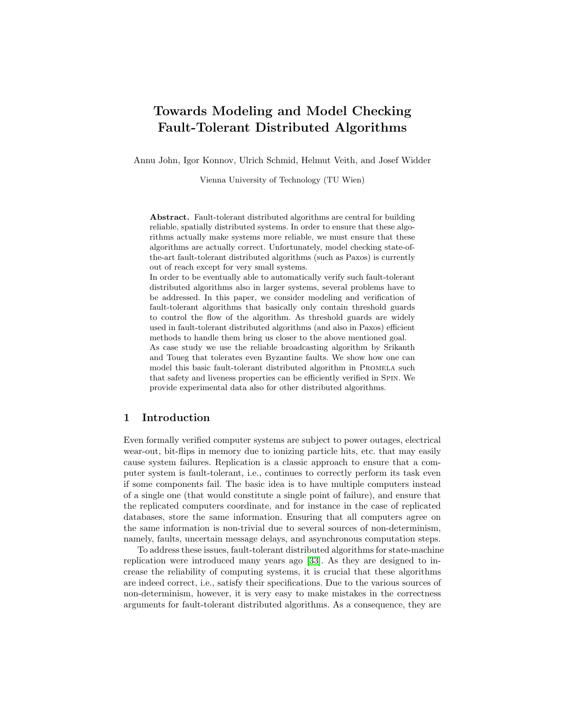# <span id="page-0-0"></span>Towards Modeling and Model Checking Fault-Tolerant Distributed Algorithms

Annu John, Igor Konnov, Ulrich Schmid, Helmut Veith, and Josef Widder

Vienna University of Technology (TU Wien)

Abstract. Fault-tolerant distributed algorithms are central for building reliable, spatially distributed systems. In order to ensure that these algorithms actually make systems more reliable, we must ensure that these algorithms are actually correct. Unfortunately, model checking state-ofthe-art fault-tolerant distributed algorithms (such as Paxos) is currently out of reach except for very small systems.

In order to be eventually able to automatically verify such fault-tolerant distributed algorithms also in larger systems, several problems have to be addressed. In this paper, we consider modeling and verification of fault-tolerant algorithms that basically only contain threshold guards to control the flow of the algorithm. As threshold guards are widely used in fault-tolerant distributed algorithms (and also in Paxos) efficient methods to handle them bring us closer to the above mentioned goal. As case study we use the reliable broadcasting algorithm by Srikanth and Toueg that tolerates even Byzantine faults. We show how one can model this basic fault-tolerant distributed algorithm in PROMELA such that safety and liveness properties can be efficiently verified in Spin. We

## provide experimental data also for other distributed algorithms.

## 1 Introduction

Even formally verified computer systems are subject to power outages, electrical wear-out, bit-flips in memory due to ionizing particle hits, etc. that may easily cause system failures. Replication is a classic approach to ensure that a computer system is fault-tolerant, i.e., continues to correctly perform its task even if some components fail. The basic idea is to have multiple computers instead of a single one (that would constitute a single point of failure), and ensure that the replicated computers coordinate, and for instance in the case of replicated databases, store the same information. Ensuring that all computers agree on the same information is non-trivial due to several sources of non-determinism, namely, faults, uncertain message delays, and asynchronous computation steps.

To address these issues, fault-tolerant distributed algorithms for state-machine replication were introduced many years ago [\[33\]](#page-17-0). As they are designed to increase the reliability of computing systems, it is crucial that these algorithms are indeed correct, i.e., satisfy their specifications. Due to the various sources of non-determinism, however, it is very easy to make mistakes in the correctness arguments for fault-tolerant distributed algorithms. As a consequence, they are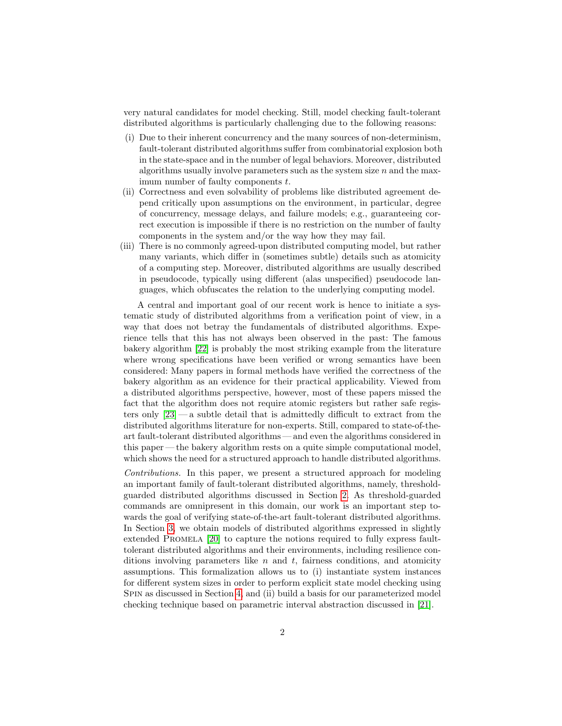very natural candidates for model checking. Still, model checking fault-tolerant distributed algorithms is particularly challenging due to the following reasons:

- (i) Due to their inherent concurrency and the many sources of non-determinism, fault-tolerant distributed algorithms suffer from combinatorial explosion both in the state-space and in the number of legal behaviors. Moreover, distributed algorithms usually involve parameters such as the system size  $n$  and the maximum number of faulty components t.
- (ii) Correctness and even solvability of problems like distributed agreement depend critically upon assumptions on the environment, in particular, degree of concurrency, message delays, and failure models; e.g., guaranteeing correct execution is impossible if there is no restriction on the number of faulty components in the system and/or the way how they may fail.
- (iii) There is no commonly agreed-upon distributed computing model, but rather many variants, which differ in (sometimes subtle) details such as atomicity of a computing step. Moreover, distributed algorithms are usually described in pseudocode, typically using different (alas unspecified) pseudocode languages, which obfuscates the relation to the underlying computing model.

A central and important goal of our recent work is hence to initiate a systematic study of distributed algorithms from a verification point of view, in a way that does not betray the fundamentals of distributed algorithms. Experience tells that this has not always been observed in the past: The famous bakery algorithm [\[22\]](#page-17-1) is probably the most striking example from the literature where wrong specifications have been verified or wrong semantics have been considered: Many papers in formal methods have verified the correctness of the bakery algorithm as an evidence for their practical applicability. Viewed from a distributed algorithms perspective, however, most of these papers missed the fact that the algorithm does not require atomic registers but rather safe registers only [\[23\]](#page-17-2)— a subtle detail that is admittedly difficult to extract from the distributed algorithms literature for non-experts. Still, compared to state-of-theart fault-tolerant distributed algorithms — and even the algorithms considered in this paper — the bakery algorithm rests on a quite simple computational model, which shows the need for a structured approach to handle distributed algorithms.

Contributions. In this paper, we present a structured approach for modeling an important family of fault-tolerant distributed algorithms, namely, thresholdguarded distributed algorithms discussed in Section [2.](#page-2-0) As threshold-guarded commands are omnipresent in this domain, our work is an important step towards the goal of verifying state-of-the-art fault-tolerant distributed algorithms. In Section [3,](#page-4-0) we obtain models of distributed algorithms expressed in slightly extended PROMELA [\[20\]](#page-17-3) to capture the notions required to fully express faulttolerant distributed algorithms and their environments, including resilience conditions involving parameters like  $n$  and  $t$ , fairness conditions, and atomicity assumptions. This formalization allows us to (i) instantiate system instances for different system sizes in order to perform explicit state model checking using Spin as discussed in Section [4,](#page-12-0) and (ii) build a basis for our parameterized model checking technique based on parametric interval abstraction discussed in [\[21\]](#page-17-4).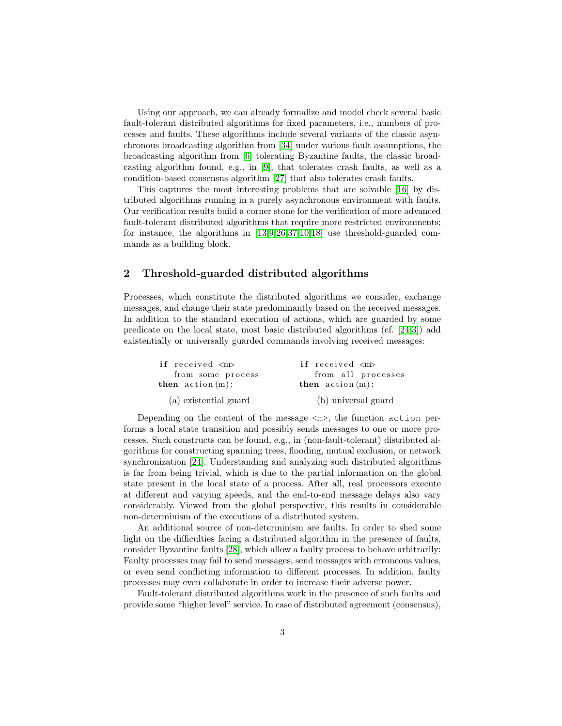Using our approach, we can already formalize and model check several basic fault-tolerant distributed algorithms for fixed parameters, i.e., numbers of processes and faults. These algorithms include several variants of the classic asynchronous broadcasting algorithm from [\[34\]](#page-17-5) under various fault assumptions, the broadcasting algorithm from [\[6\]](#page-16-0) tolerating Byzantine faults, the classic broadcasting algorithm found, e.g., in [\[9\]](#page-16-1), that tolerates crash faults, as well as a condition-based consensus algorithm [\[27\]](#page-17-6) that also tolerates crash faults.

This captures the most interesting problems that are solvable [\[16\]](#page-17-7) by distributed algorithms running in a purely asynchronous environment with faults. Our verification results build a corner stone for the verification of more advanced fault-tolerant distributed algorithms that require more restricted environments; for instance, the algorithms in [\[13,](#page-16-2)[9](#page-16-1)[,26,](#page-17-8)[37,](#page-17-9)[10,](#page-16-3)[18\]](#page-17-10) use threshold-guarded commands as a building block.

## <span id="page-2-0"></span>2 Threshold-guarded distributed algorithms

Processes, which constitute the distributed algorithms we consider, exchange messages, and change their state predominantly based on the received messages. In addition to the standard execution of actions, which are guarded by some predicate on the local state, most basic distributed algorithms (cf. [\[24,](#page-17-11)[3\]](#page-16-4)) add existentially or universally guarded commands involving received messages:

| if received $\langle m \rangle$ | if received $\langle m \rangle$ |  |  |  |  |  |
|---------------------------------|---------------------------------|--|--|--|--|--|
| from some process               | from all processes              |  |  |  |  |  |
| <b>then</b> $\arctan(m)$ ;      | <b>then</b> $\arctan(m)$ ;      |  |  |  |  |  |
| (a) existential guard           | (b) universal guard             |  |  |  |  |  |

Depending on the content of the message  $\langle m \rangle$ , the function action performs a local state transition and possibly sends messages to one or more processes. Such constructs can be found, e.g., in (non-fault-tolerant) distributed algorithms for constructing spanning trees, flooding, mutual exclusion, or network synchronization [\[24\]](#page-17-11). Understanding and analyzing such distributed algorithms is far from being trivial, which is due to the partial information on the global state present in the local state of a process. After all, real processors execute at different and varying speeds, and the end-to-end message delays also vary considerably. Viewed from the global perspective, this results in considerable non-determinism of the executions of a distributed system.

An additional source of non-determinism are faults. In order to shed some light on the difficulties facing a distributed algorithm in the presence of faults, consider Byzantine faults [\[28\]](#page-17-12), which allow a faulty process to behave arbitrarily: Faulty processes may fail to send messages, send messages with erroneous values, or even send conflicting information to different processes. In addition, faulty processes may even collaborate in order to increase their adverse power.

Fault-tolerant distributed algorithms work in the presence of such faults and provide some "higher level" service. In case of distributed agreement (consensus),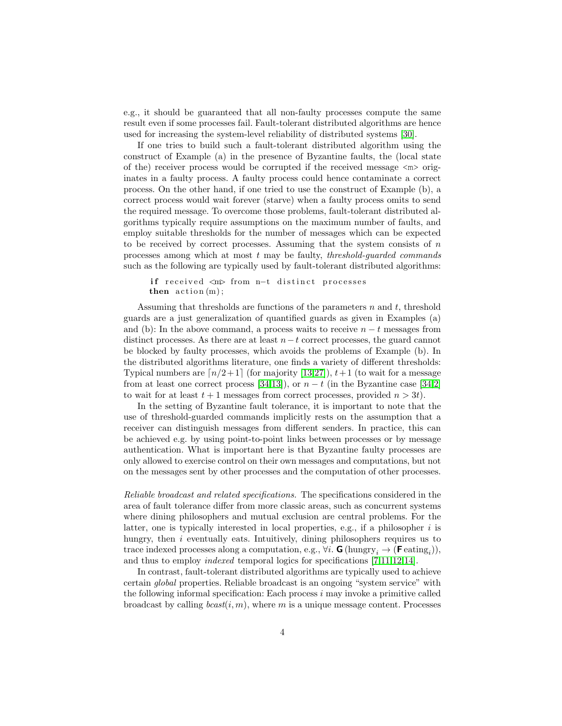e.g., it should be guaranteed that all non-faulty processes compute the same result even if some processes fail. Fault-tolerant distributed algorithms are hence used for increasing the system-level reliability of distributed systems [\[30\]](#page-17-13).

If one tries to build such a fault-tolerant distributed algorithm using the construct of Example (a) in the presence of Byzantine faults, the (local state of the) receiver process would be corrupted if the received message  $\langle m \rangle$  originates in a faulty process. A faulty process could hence contaminate a correct process. On the other hand, if one tried to use the construct of Example (b), a correct process would wait forever (starve) when a faulty process omits to send the required message. To overcome those problems, fault-tolerant distributed algorithms typically require assumptions on the maximum number of faults, and employ suitable thresholds for the number of messages which can be expected to be received by correct processes. Assuming that the system consists of  $n$ processes among which at most  $t$  may be faulty, threshold-guarded commands such as the following are typically used by fault-tolerant distributed algorithms:

if received <m> from n-t distinct processes then  $\arctan(m)$ ;

Assuming that thresholds are functions of the parameters  $n$  and  $t$ , threshold guards are a just generalization of quantified guards as given in Examples (a) and (b): In the above command, a process waits to receive  $n - t$  messages from distinct processes. As there are at least  $n-t$  correct processes, the guard cannot be blocked by faulty processes, which avoids the problems of Example (b). In the distributed algorithms literature, one finds a variety of different thresholds: Typical numbers are  $\lceil n/2+1 \rceil$  (for majority [\[13,](#page-16-2)[27\]](#page-17-6)),  $t+1$  (to wait for a message from at least one correct process [\[34](#page-17-5)[,13\]](#page-16-2)), or  $n - t$  (in the Byzantine case [\[34,](#page-17-5)[2\]](#page-16-5) to wait for at least  $t + 1$  messages from correct processes, provided  $n > 3t$ .

In the setting of Byzantine fault tolerance, it is important to note that the use of threshold-guarded commands implicitly rests on the assumption that a receiver can distinguish messages from different senders. In practice, this can be achieved e.g. by using point-to-point links between processes or by message authentication. What is important here is that Byzantine faulty processes are only allowed to exercise control on their own messages and computations, but not on the messages sent by other processes and the computation of other processes.

Reliable broadcast and related specifications. The specifications considered in the area of fault tolerance differ from more classic areas, such as concurrent systems where dining philosophers and mutual exclusion are central problems. For the latter, one is typically interested in local properties, e.g., if a philosopher  $i$  is hungry, then  $i$  eventually eats. Intuitively, dining philosophers requires us to trace indexed processes along a computation, e.g.,  $\forall i$ . **G** (hungry<sub>i</sub>  $\rightarrow$  (**F** eating<sub>i</sub>)), and thus to employ indexed temporal logics for specifications [\[7](#page-16-6)[,11,](#page-16-7)[12,](#page-16-8)[14\]](#page-17-14).

In contrast, fault-tolerant distributed algorithms are typically used to achieve certain global properties. Reliable broadcast is an ongoing "system service" with the following informal specification: Each process  $i$  may invoke a primitive called broadcast by calling  $\text{least}(i, m)$ , where m is a unique message content. Processes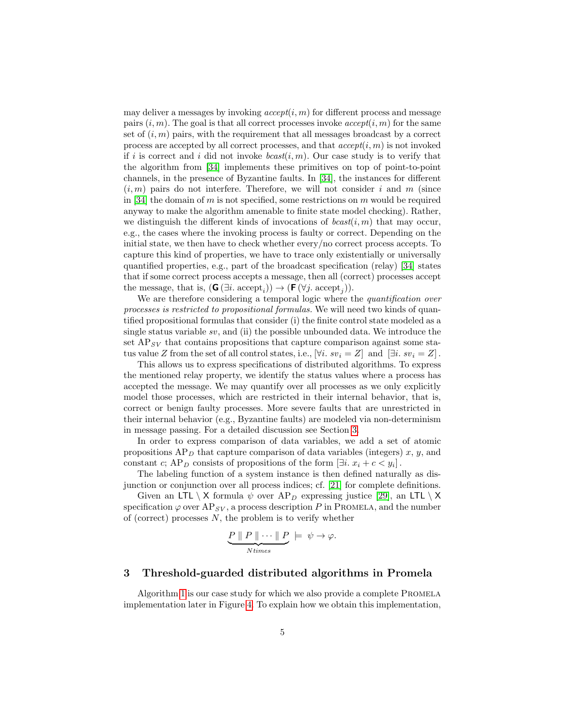may deliver a messages by invoking  $accept(i, m)$  for different process and message pairs  $(i, m)$ . The goal is that all correct processes invoke  $accept(i, m)$  for the same set of  $(i, m)$  pairs, with the requirement that all messages broadcast by a correct process are accepted by all correct processes, and that  $accept(i, m)$  is not invoked if i is correct and i did not invoke  $\text{icast}(i, m)$ . Our case study is to verify that the algorithm from [\[34\]](#page-17-5) implements these primitives on top of point-to-point channels, in the presence of Byzantine faults. In [\[34\]](#page-17-5), the instances for different  $(i, m)$  pairs do not interfere. Therefore, we will not consider i and m (since in [\[34\]](#page-17-5) the domain of m is not specified, some restrictions on m would be required anyway to make the algorithm amenable to finite state model checking). Rather, we distinguish the different kinds of invocations of  $\text{beast}(i, m)$  that may occur, e.g., the cases where the invoking process is faulty or correct. Depending on the initial state, we then have to check whether every/no correct process accepts. To capture this kind of properties, we have to trace only existentially or universally quantified properties, e.g., part of the broadcast specification (relay) [\[34\]](#page-17-5) states that if some correct process accepts a message, then all (correct) processes accept the message, that is,  $(\mathbf{G}(\exists i.\text{ accept}_i)) \rightarrow (\mathbf{F}(\forall j.\text{ accept}_j)).$ 

We are therefore considering a temporal logic where the *quantification over* processes is restricted to propositional formulas. We will need two kinds of quantified propositional formulas that consider (i) the finite control state modeled as a single status variable  $sv$ , and (ii) the possible unbounded data. We introduce the set  $AP_{SV}$  that contains propositions that capture comparison against some status value Z from the set of all control states, i.e.,  $[\forall i. s v_i = Z]$  and  $[\exists i. s v_i = Z]$ .

This allows us to express specifications of distributed algorithms. To express the mentioned relay property, we identify the status values where a process has accepted the message. We may quantify over all processes as we only explicitly model those processes, which are restricted in their internal behavior, that is, correct or benign faulty processes. More severe faults that are unrestricted in their internal behavior (e.g., Byzantine faults) are modeled via non-determinism in message passing. For a detailed discussion see Section [3.](#page-4-0)

In order to express comparison of data variables, we add a set of atomic propositions  $AP<sub>D</sub>$  that capture comparison of data variables (integers) x, y, and constant c; AP<sub>D</sub> consists of propositions of the form  $[\exists i. x_i + c < y_i]$ .

The labeling function of a system instance is then defined naturally as disjunction or conjunction over all process indices; cf. [\[21\]](#page-17-4) for complete definitions.

Given an LTL  $\setminus X$  formula  $\psi$  over AP<sub>D</sub> expressing justice [\[29\]](#page-17-15), an LTL  $\setminus X$ specification  $\varphi$  over AP<sub>SV</sub>, a process description P in PROMELA, and the number of (correct) processes  $N$ , the problem is to verify whether

$$
\underbrace{P \parallel P \parallel \cdots \parallel P}_{N \text{ times}} \models \psi \rightarrow \varphi.
$$

## <span id="page-4-0"></span>3 Threshold-guarded distributed algorithms in Promela

Algorithm [1](#page-0-0) is our case study for which we also provide a complete PROMELA implementation later in Figure [4.](#page-11-0) To explain how we obtain this implementation,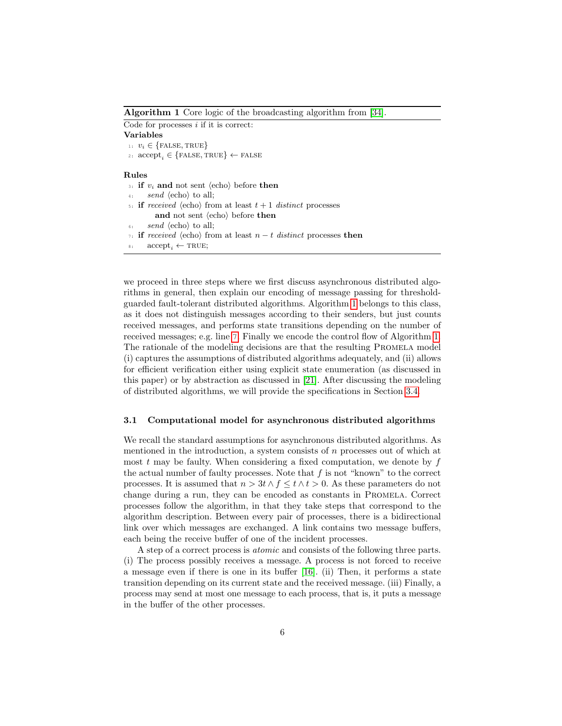Algorithm 1 Core logic of the broadcasting algorithm from [\[34\]](#page-17-5).

<span id="page-5-0"></span>Code for processes  $i$  if it is correct: Variables

1:  $v_i \in \{\text{FALSE}, \text{TRUE}\}\$ 

2:  $\text{accept}_i \in \{\text{FALSE}, \text{TRUE}\} \leftarrow \text{FALSE}$ 

#### Rules

3: if  $v_i$  and not sent (echo) before then

- 4: send  $\langle$ echo $\rangle$  to all;
- 5: if received  $\langle$ echo) from at least  $t + 1$  distinct processes and not sent  $\langle$ echo $\rangle$  before then
- $\epsilon$ : send (echo) to all;
- 7: if received  $\langle$ echo $\rangle$  from at least n − t distinct processes then
- $\text{accept}_i \leftarrow \text{TRUE};$

we proceed in three steps where we first discuss asynchronous distributed algorithms in general, then explain our encoding of message passing for thresholdguarded fault-tolerant distributed algorithms. Algorithm [1](#page-0-0) belongs to this class, as it does not distinguish messages according to their senders, but just counts received messages, and performs state transitions depending on the number of received messages; e.g. line [7](#page-5-0). Finally we encode the control flow of Algorithm [1.](#page-0-0) The rationale of the modeling decisions are that the resulting Promela model (i) captures the assumptions of distributed algorithms adequately, and (ii) allows for efficient verification either using explicit state enumeration (as discussed in this paper) or by abstraction as discussed in [\[21\]](#page-17-4). After discussing the modeling of distributed algorithms, we will provide the specifications in Section [3.4.](#page-12-1)

#### <span id="page-5-1"></span>3.1 Computational model for asynchronous distributed algorithms

We recall the standard assumptions for asynchronous distributed algorithms. As mentioned in the introduction, a system consists of  $n$  processes out of which at most  $t$  may be faulty. When considering a fixed computation, we denote by  $f$ the actual number of faulty processes. Note that  $f$  is not "known" to the correct processes. It is assumed that  $n > 3t \land f \leq t \land t > 0$ . As these parameters do not change during a run, they can be encoded as constants in PROMELA. Correct processes follow the algorithm, in that they take steps that correspond to the algorithm description. Between every pair of processes, there is a bidirectional link over which messages are exchanged. A link contains two message buffers, each being the receive buffer of one of the incident processes.

A step of a correct process is atomic and consists of the following three parts. (i) The process possibly receives a message. A process is not forced to receive a message even if there is one in its buffer [\[16\]](#page-17-7). (ii) Then, it performs a state transition depending on its current state and the received message. (iii) Finally, a process may send at most one message to each process, that is, it puts a message in the buffer of the other processes.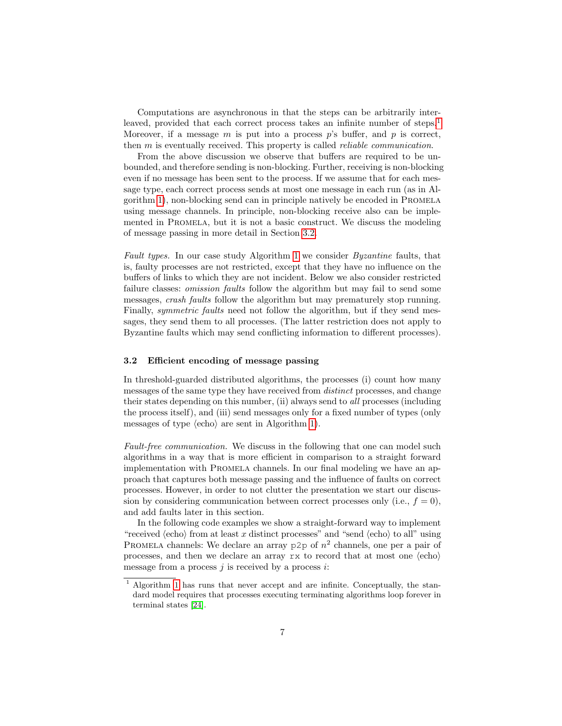Computations are asynchronous in that the steps can be arbitrarily inter-leaved, provided that each correct process takes an infinite number of steps.<sup>[1](#page-6-0)</sup> Moreover, if a message  $m$  is put into a process  $p$ 's buffer, and  $p$  is correct, then m is eventually received. This property is called *reliable communication*.

From the above discussion we observe that buffers are required to be unbounded, and therefore sending is non-blocking. Further, receiving is non-blocking even if no message has been sent to the process. If we assume that for each message type, each correct process sends at most one message in each run (as in Algorithm [1\)](#page-0-0), non-blocking send can in principle natively be encoded in Promela using message channels. In principle, non-blocking receive also can be implemented in Promela, but it is not a basic construct. We discuss the modeling of message passing in more detail in Section [3.2.](#page-6-1)

Fault types. In our case study Algorithm [1](#page-0-0) we consider Byzantine faults, that is, faulty processes are not restricted, except that they have no influence on the buffers of links to which they are not incident. Below we also consider restricted failure classes: omission faults follow the algorithm but may fail to send some messages, crash faults follow the algorithm but may prematurely stop running. Finally, *symmetric faults* need not follow the algorithm, but if they send messages, they send them to all processes. (The latter restriction does not apply to Byzantine faults which may send conflicting information to different processes).

## <span id="page-6-1"></span>3.2 Efficient encoding of message passing

In threshold-guarded distributed algorithms, the processes (i) count how many messages of the same type they have received from distinct processes, and change their states depending on this number, (ii) always send to all processes (including the process itself), and (iii) send messages only for a fixed number of types (only messages of type  $\langle$ echo $\rangle$  are sent in Algorithm [1\)](#page-0-0).

Fault-free communication. We discuss in the following that one can model such algorithms in a way that is more efficient in comparison to a straight forward implementation with Promela channels. In our final modeling we have an approach that captures both message passing and the influence of faults on correct processes. However, in order to not clutter the presentation we start our discussion by considering communication between correct processes only (i.e.,  $f = 0$ ), and add faults later in this section.

In the following code examples we show a straight-forward way to implement "received  $\langle$ echo) from at least x distinct processes" and "send  $\langle$ echo) to all" using PROMELA channels: We declare an array  $p2p$  of  $n^2$  channels, one per a pair of processes, and then we declare an array  $rx$  to record that at most one  $\langle$ echo $\rangle$ message from a process  $j$  is received by a process  $i$ :

<span id="page-6-0"></span><sup>&</sup>lt;sup>1</sup> Algorithm [1](#page-0-0) has runs that never accept and are infinite. Conceptually, the standard model requires that processes executing terminating algorithms loop forever in terminal states [\[24\]](#page-17-11).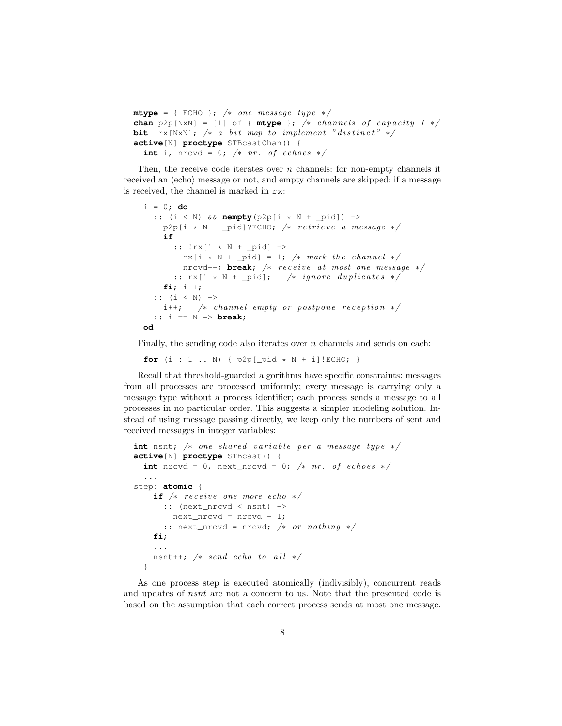```
\texttt{mtype} = { ECHO }; /* one message type */
chan p2p[NxN] = [1] of { mtype }; /* channels of capacity 1 * /bit rx[NxN]; /* a bit map to implement "distinct" */
active[N] proctype STBcastChan() {
  int i, nrcvd = 0; /* nr. of echoes */
```
Then, the receive code iterates over  $n$  channels: for non-empty channels it received an  $\langle$ echo $\rangle$  message or not, and empty channels are skipped; if a message is received, the channel is marked in rx:

```
i = 0; do
  :: (i \lt N) & nempty (p2p[i + N + \text{pid}]) \rightarrowp2p[i \times N + _pid]?ECHO; /* retrieve a message */
    if
      :: !rx[i * N + _pid] ->
        rx[i * N + pid] = 1; /* mark the channel */
        nrcvd++; break; /* receive at most one message */
      :: rx[i * N + \underline{pid}]; /* ignore duplicates */
    fi; i++;
  : : (i < N) \rightarrowi++; /* channel empty or postpone reception */
  :: i == N -> break;
od
```
Finally, the sending code also iterates over  $n$  channels and sends on each:

**for**  $(i : 1 ... N)$  {  $p2p[\_{pid} * N + i] !ECHO;$  }

Recall that threshold-guarded algorithms have specific constraints: messages from all processes are processed uniformly; every message is carrying only a message type without a process identifier; each process sends a message to all processes in no particular order. This suggests a simpler modeling solution. Instead of using message passing directly, we keep only the numbers of sent and received messages in integer variables:

```
int nsnt; /* one shared variable per a message type */active[N] proctype STBcast() {
 int nrcvd = 0, next_nrcvd = 0; /* nr. of echoes */
  ...
step: atomic {
   if /* receive one more echo */
      :: (next_nrcvd < nsnt) ->
       next\_nrcvd = nrcvd + 1;:: next_nrcvd = nrcvd; /* or nothing */
    fi;
    ...
   nsnt++; /* send echo to all */
  }
```
As one process step is executed atomically (indivisibly), concurrent reads and updates of nsnt are not a concern to us. Note that the presented code is based on the assumption that each correct process sends at most one message.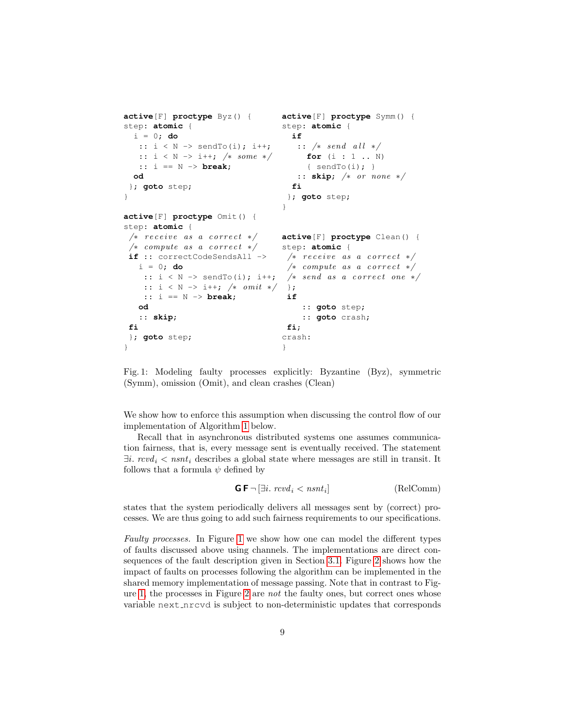```
active[F] proctype Byz() {
step: atomic {
 i = 0; do
   :: i \le N \Rightarrow sendTo(i); i^{++};
   :: i < N -> i++; /* some */
   :: i == N -> break;
  od
 }; goto step;
}
active[F] proctype Omit() {
step: atomic {
 /* receive as a correct *//* compute as a correct */if :: correctCodeSendsAll ->
   i = 0; do
    :: i \le N \Rightarrow sendTo(i); i^{++};
    :: i < N -> i++; /∗ omit ∗/
    :: i == N -> break;
  od
   :: skip;
fi
 }; goto step;
}
                                  active[F] proctype Symm() {
                                  step: atomic {
                                    if
                                     :: /* send all */
                                       for (i : 1 .. N)
                                       { sendTo(i); }
                                     :: skip; /∗ or none ∗/
                                    fi
                                   }; goto step;
                                  }
                                  active[F] proctype Clean() {
                                  step: atomic {
                                   /* receive as a correct *//* compute as a correct *//* send as a correct one */
                                   };
                                   if
                                       :: goto step;
                                       :: goto crash;
                                   fi;
                                  crash:
                                  }
```
Fig. 1: Modeling faulty processes explicitly: Byzantine (Byz), symmetric (Symm), omission (Omit), and clean crashes (Clean)

We show how to enforce this assumption when discussing the control flow of our implementation of Algorithm [1](#page-0-0) below.

Recall that in asynchronous distributed systems one assumes communication fairness, that is, every message sent is eventually received. The statement  $\exists i. \; rcvd_i$  < nsnt<sub>i</sub> describes a global state where messages are still in transit. It follows that a formula  $\psi$  defined by

<span id="page-8-1"></span>
$$
\mathbf{G}\,\mathbf{F} - [\exists i.\ revd_i < nsnt_i] \tag{RelComm}
$$

states that the system periodically delivers all messages sent by (correct) processes. We are thus going to add such fairness requirements to our specifications.

Faulty processes. In Figure [1](#page-8-0) we show how one can model the different types of faults discussed above using channels. The implementations are direct consequences of the fault description given in Section [3.1.](#page-5-1) Figure [2](#page-9-0) shows how the impact of faults on processes following the algorithm can be implemented in the shared memory implementation of message passing. Note that in contrast to Figure [1,](#page-8-0) the processes in Figure [2](#page-9-0) are not the faulty ones, but correct ones whose variable next nrcvd is subject to non-deterministic updates that corresponds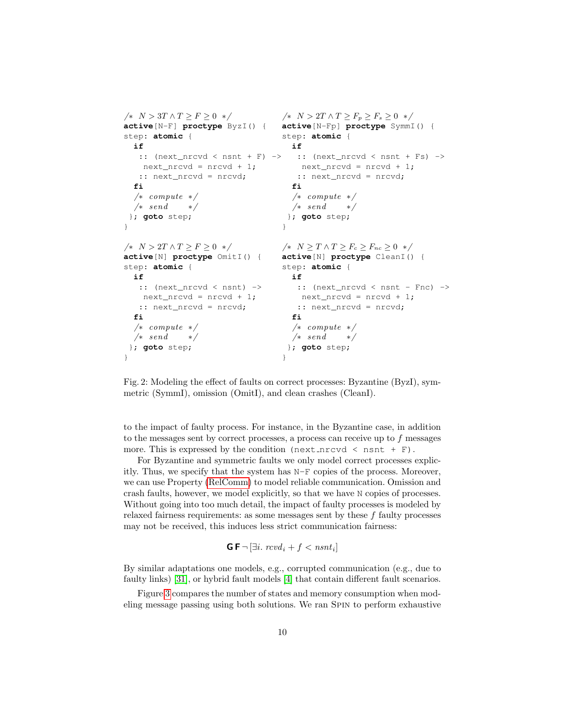```
/∗ N > 3T \wedge T \geq F \geq 0 */
active[N-F] proctype ByzI() {
step: atomic {
 if
   :: (next_nrcvd < nsnt + F) -> :: (next_nrcvd < nsnt + Fs) ->
   next_nrcvd = nrcvd + 1;
   :: next_nrcvd = nrcvd;
  fi
  /∗ compute ∗/
  /∗ send ∗/
 }; goto step;
}
/∗ N > 2T ∧ T ≥ F ≥ 0 ∗/
active[N] proctype OmitI() {
step: atomic {
 if
   :: (next_nrcvd < nsnt) ->
    next\_nrcvd = nrcvd + 1;:: next_nrcvd = nrcvd;
  fi
  /∗ compute ∗/
  /∗ send ∗/
 }; goto step;
}
                                  /∗ N > 2T \wedge T \geq F_p \geq F_s \geq 0 */
                                  active[N-Fp] proctype SymmI() {
                                  step: atomic {
                                    if
                                    next_nrcvd = nrcvd + 1;
                                     :: next_nrcvd = nrcvd;
                                    fi
                                    /∗ compute ∗/
                                    /* \; send \; */}; goto step;
                                   }
                                  /∗ N \geq T \wedge T \geq F_c \geq F_{nc} \geq 0 */
                                  active[N] proctype CleanI() {
                                  step: atomic {
                                    if
                                    :: (next_nrcvd < nsnt - Fnc) ->
                                     next_nrcvd = nrcvd + 1;
                                     :: next_nrcvd = nrcvd;
                                    fi
                                    /∗ compute ∗/
                                    /* \; send \; */}; goto step;
                                   }
```
Fig. 2: Modeling the effect of faults on correct processes: Byzantine (ByzI), symmetric (SymmI), omission (OmitI), and clean crashes (CleanI).

to the impact of faulty process. For instance, in the Byzantine case, in addition to the messages sent by correct processes, a process can receive up to f messages more. This is expressed by the condition (next nrcvd  $\leq$  nsnt  $+$  F).

For Byzantine and symmetric faults we only model correct processes explicitly. Thus, we specify that the system has N-F copies of the process. Moreover, we can use Property [\(RelComm\)](#page-8-1) to model reliable communication. Omission and crash faults, however, we model explicitly, so that we have N copies of processes. Without going into too much detail, the impact of faulty processes is modeled by relaxed fairness requirements: as some messages sent by these f faulty processes may not be received, this induces less strict communication fairness:

$$
\mathsf{GF} \neg [\exists i. \; rcv\,_i + f < nsn\,_i]
$$

By similar adaptations one models, e.g., corrupted communication (e.g., due to faulty links) [\[31\]](#page-17-16), or hybrid fault models [\[4\]](#page-16-9) that contain different fault scenarios.

Figure [3](#page-10-0) compares the number of states and memory consumption when modeling message passing using both solutions. We ran Spin to perform exhaustive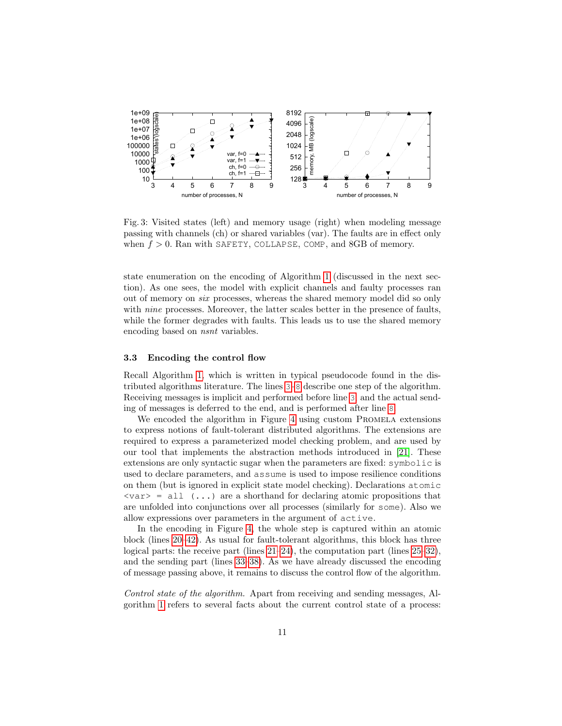<span id="page-10-0"></span>

Fig. 3: Visited states (left) and memory usage (right) when modeling message passing with channels (ch) or shared variables (var). The faults are in effect only when  $f > 0$ . Ran with SAFETY, COLLAPSE, COMP, and 8GB of memory.

state enumeration on the encoding of Algorithm [1](#page-0-0) (discussed in the next section). As one sees, the model with explicit channels and faulty processes ran out of memory on six processes, whereas the shared memory model did so only with *nine* processes. Moreover, the latter scales better in the presence of faults, while the former degrades with faults. This leads us to use the shared memory encoding based on nsnt variables.

#### 3.3 Encoding the control flow

Recall Algorithm [1,](#page-0-0) which is written in typical pseudocode found in the distributed algorithms literature. The lines [3-8](#page-5-0) describe one step of the algorithm. Receiving messages is implicit and performed before line [3](#page-5-0), and the actual sending of messages is deferred to the end, and is performed after line [8](#page-5-0).

We encoded the algorithm in Figure [4](#page-11-0) using custom PROMELA extensions to express notions of fault-tolerant distributed algorithms. The extensions are required to express a parameterized model checking problem, and are used by our tool that implements the abstraction methods introduced in [\[21\]](#page-17-4). These extensions are only syntactic sugar when the parameters are fixed: symbolic is used to declare parameters, and assume is used to impose resilience conditions on them (but is ignored in explicit state model checking). Declarations atomic  $\langle \text{var} \rangle = \text{all}$  (...) are a shorthand for declaring atomic propositions that are unfolded into conjunctions over all processes (similarly for some). Also we allow expressions over parameters in the argument of active.

In the encoding in Figure [4,](#page-11-0) the whole step is captured within an atomic block (lines [20](#page-11-1)[–42\)](#page-11-2). As usual for fault-tolerant algorithms, this block has three logical parts: the receive part (lines  $21-24$ ), the computation part (lines  $25-32$ ), and the sending part (lines [33–](#page-11-7)[38\)](#page-11-8). As we have already discussed the encoding of message passing above, it remains to discuss the control flow of the algorithm.

Control state of the algorithm. Apart from receiving and sending messages, Algorithm [1](#page-0-0) refers to several facts about the current control state of a process: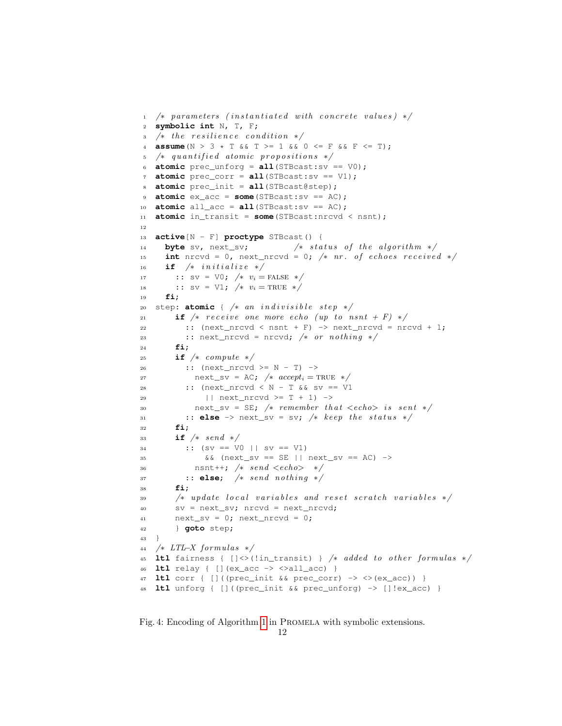```
1 / * parameters (instantiated with concrete values) */2 symbolic int N, T, F;
3 \t/k the resilience condition */
4 assume(N > 3 * T && T >= 1 && 0 <= F && F <= T);
5 \neq quantified atomic propositions */6 atomic prec_unforg = all(STBcast:sv == V0);
   atomic prec_corr = all(STBcast:sv == V1);8 atomic prec_init = all(STBcast@step);
9 atomic ex_acc = some(STBcast:sv == AC);
10 atomic all_acc = all(STBcast:sv == AC);
11 atomic in_transit = some(STBcast:nrcvd < nsnt);
12
13 active[N - F] proctype STBcast() {
14 byte sv, next_sv; /* status of the algorithm */
15 int nrcvd = 0, next_nrcvd = 0; /* nr. of echoes received */
16 if /* initialize */17 :: sv = V0; /* v_i = FALSE * /18 :: sv = V1; /* v_i = TRUE */
19 fi;
20 step: atomic { /* an indivisible step */
21 if /* receive one more echo (up to nsnt + F) */
22 :: (\text{next\_nrcvd} < \text{nsnt} + \text{F}) \rightarrow \text{next\_nrcvd} = \text{nrcvd} + 1;\cdots :: next_nrcvd = nrcvd; /* or nothing */
24 fi;
25 if /∗ compute ∗/
26 :: (next_nrcvd >= N - T) ->
27 next_sv = AC; /* accept_i = \text{TRUE} */
28 :: (next_nrcvd < N - T && sv == V1
29 || next_nrcvd >= T + 1) ->
30 next_sv = SE; /* remember that \langle echo \rangle is sent */
31 :: else \rightarrow next_sv = sv; /* keep the status */
32 fi;
33 if /∗ send ∗/
34 :: (SV == V0 || SV == V1)
35 \quad \& \& \quad (next_sv == SE || next_sv == AC) ->
36 nsnt++; /∗ send <echo> ∗/
37 :: else; /* send nothing */
38 fi;
39 /* update local variables and reset scratch variables */
40 sv = next_sv; nrcvd = next_nrcvd;
41 next\_sv = 0; next\_nrcvd = 0;42 } goto step;
43 \frac{1}{2}44 /∗ LTL−X formulas ∗/
45 ltl fairness { [\infty] {> (!in_transit) } /* added to other formulas */
46 ltl relay { [](ex_acc -> <>all_acc) }
47 ltl corr { []((prec_init && prec_corr) -> <>(ex_acc)) }
48 ltl unforg { []((prec_init && prec_unforg) -> []!ex_acc) }
```
<span id="page-11-8"></span><span id="page-11-7"></span><span id="page-11-6"></span><span id="page-11-2"></span>Fig. 4: Encoding of Algorithm [1](#page-0-0) in PROMELA with symbolic extensions.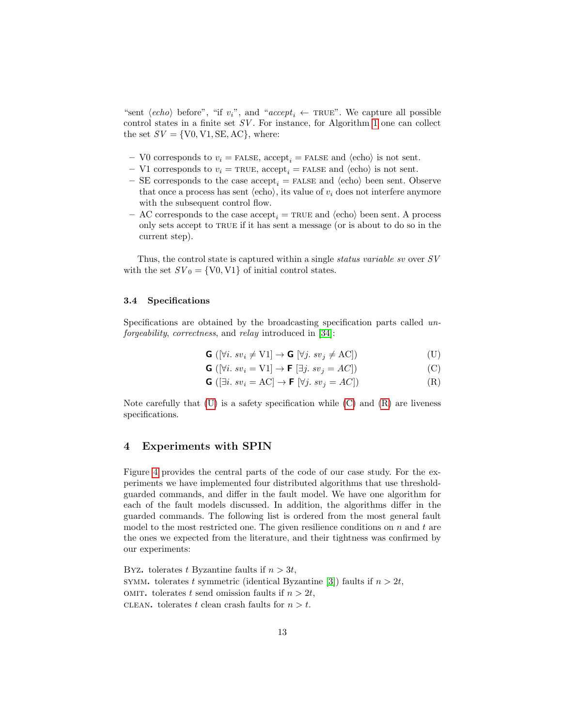"sent  $\langle echo \rangle$  before", "if v<sub>i</sub>", and "accept<sub>i</sub> ← TRUE". We capture all possible control states in a finite set  $SV$ . For instance, for Algorithm [1](#page-0-0) one can collect the set  $SV = \{V0, V1, SE, AC\}$ , where:

- V0 corresponds to  $v_i$  = FALSE, accept<sub>i</sub> = FALSE and  $\langle$ echo $\rangle$  is not sent.
- V1 corresponds to  $v_i$  = TRUE, accept<sub>i</sub> = FALSE and  $\langle$ echo $\rangle$  is not sent.
- SE corresponds to the case accept<sub>i</sub> = FALSE and  $\langle$ echo) been sent. Observe that once a process has sent  $\langle$ echo $\rangle$ , its value of  $v_i$  does not interfere anymore with the subsequent control flow.
- AC corresponds to the case  $\mathrm{accept}_i = \mathrm{TRUE}$  and  $\langle \mathrm{echo} \rangle$  been sent. A process only sets accept to true if it has sent a message (or is about to do so in the current step).

Thus, the control state is captured within a single status variable sv over SV with the set  $SV_0 = \{V0, V1\}$  of initial control states.

### <span id="page-12-1"></span>3.4 Specifications

Specifications are obtained by the broadcasting specification parts called unforgeability, correctness, and relay introduced in [\[34\]](#page-17-5):

$$
\mathbf{G} \left( [\forall i. s v_i \neq \mathrm{V1}] \rightarrow \mathbf{G} \left[ \forall j. s v_j \neq \mathrm{AC} \right] \right) \tag{U}
$$

$$
\mathbf{G} ([\forall i. s v_i = \text{V1}] \rightarrow \mathbf{F} [\exists j. s v_j = AC])
$$
 (C)

$$
\mathbf{G} \left( [\exists i. s v_i = \mathbf{AC}] \rightarrow \mathbf{F} \left[ \forall j. s v_j = \mathbf{AC} \right] \right) \tag{R}
$$

Note carefully that  $(U)$  is a safety specification while  $(C)$  and  $(R)$  are liveness specifications.

## <span id="page-12-0"></span>4 Experiments with SPIN

Figure [4](#page-11-0) provides the central parts of the code of our case study. For the experiments we have implemented four distributed algorithms that use thresholdguarded commands, and differ in the fault model. We have one algorithm for each of the fault models discussed. In addition, the algorithms differ in the guarded commands. The following list is ordered from the most general fault model to the most restricted one. The given resilience conditions on  $n$  and  $t$  are the ones we expected from the literature, and their tightness was confirmed by our experiments:

Byz. tolerates t Byzantine faults if  $n > 3t$ , SYMM. tolerates t symmetric (identical Byzantine [\[3\]](#page-16-4)) faults if  $n > 2t$ , OMIT. tolerates t send omission faults if  $n > 2t$ , CLEAN. tolerates t clean crash faults for  $n > t$ .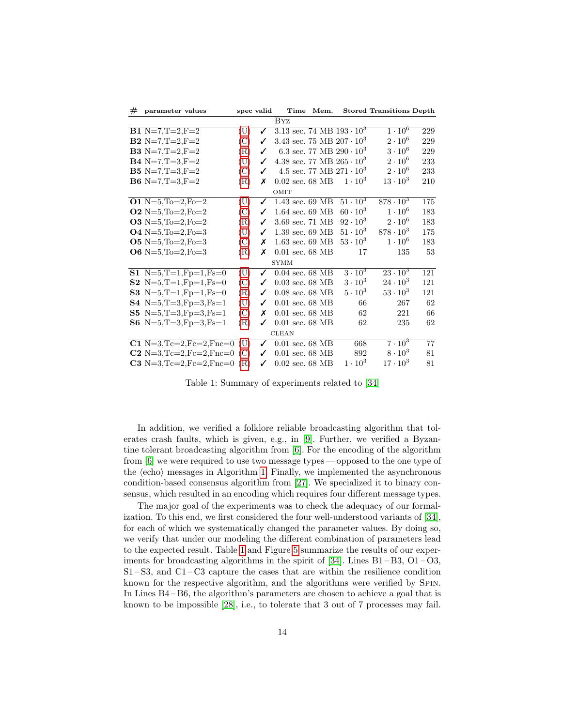<span id="page-13-0"></span>

| #            | parameter values                  |     | spec valid   |                                  | Time Mem. |                                 | <b>Stored Transitions Depth</b> |     |  |  |
|--------------|-----------------------------------|-----|--------------|----------------------------------|-----------|---------------------------------|---------------------------------|-----|--|--|
|              | <b>B</b> YZ                       |     |              |                                  |           |                                 |                                 |     |  |  |
|              | <b>B1</b> N=7,T=2,F=2             | (U) | $\checkmark$ | 3.13 sec. 74 MB $193 \cdot 10^3$ |           |                                 | $1\cdot 10^6$                   | 229 |  |  |
|              | <b>B2</b> N=7,T=2,F=2             | (C) | ✓            | 3.43 sec. 75 MB $207 \cdot 10^3$ |           |                                 | $2\cdot10^6$                    | 229 |  |  |
|              | <b>B3</b> N=7,T=2,F=2             | (R) | ✓            |                                  |           | $6.3$ sec. 77 MB $290\cdot10^3$ | $3\cdot10^6$                    | 229 |  |  |
|              | $B4 N=7, T=3, F=2$                | (U) | $\checkmark$ | 4.38 sec. 77 MB $265 \cdot 10^3$ |           |                                 | $2 \cdot 10^6$                  | 233 |  |  |
|              | <b>B5</b> $N=7$ , $T=3$ , $F=2$   | (C) | ✓            |                                  |           | 4.5 sec. 77 MB $271 \cdot 10^3$ | $2 \cdot 10^{6}$                | 233 |  |  |
|              | <b>B6</b> N=7,T=3,F=2             | (R) | Х            | $0.02$ sec. $68\ \mathrm{MB}$    |           | $1 \cdot 10^3$                  | $13 \cdot 10^3$                 | 210 |  |  |
| OMIT         |                                   |     |              |                                  |           |                                 |                                 |     |  |  |
|              | $O1 N=5, To=2, Fo=2$              | (U) | $\checkmark$ | $1.43$ sec. 69 MB                |           | $51 \cdot 10^3$                 | $878 \cdot 10^3$                | 175 |  |  |
|              | $Q2 N=5, To=2, Fo=2$              | (C) | ✓            | $1.64$ sec. 69 MB                |           | $60 \cdot 10^{3}$               | $1 \cdot 10^6$                  | 183 |  |  |
|              | $O3$ N=5,To=2,Fo=2                | (R) | ✓            | 3.69 sec. 71 MB                  |           | $92 \cdot 10^3$                 | $2 \cdot 10^6$                  | 183 |  |  |
|              | $O4 N=5, To=2, Fo=3$              | (U) | ✓            | $1.39$ sec. $69$ MB              |           | $51 \cdot 10^3$                 | $878 \cdot 10^{3}$              | 175 |  |  |
|              | $O5$ N=5,To=2,Fo=3                | (C) | Х            | $1.63$ sec. 69 MB                |           | $53 \cdot 10^3$                 | $1 \cdot 10^6$                  | 183 |  |  |
|              | $O6$ N=5,To=2,Fo=3                | (R) | x            | $0.01$ sec. 68 MB                |           | 17                              | 135                             | 53  |  |  |
| <b>SYMM</b>  |                                   |     |              |                                  |           |                                 |                                 |     |  |  |
|              | <b>S1</b> N=5,T=1,Fp=1,Fs=0       | (U) | $\checkmark$ | $0.04$ sec. 68 MB                |           | $3 \cdot 10^3$                  | $\overline{23\cdot 10^3}$       | 121 |  |  |
|              | <b>S2</b> N=5,T=1,Fp=1,Fs=0       | (C) | ✓            | $0.03$ sec. 68 MB                |           | $3 \cdot 10^3$                  | $24 \cdot 10^3$                 | 121 |  |  |
|              | <b>S3</b> N=5,T=1,Fp=1,Fs=0       | (R) | ✓            | $0.08$ sec. 68 MB                |           | $5 \cdot 10^3$                  | $53 \cdot 10^3$                 | 121 |  |  |
|              | <b>S4</b> N=5,T=3,Fp=3,Fs=1       | (U) | ✓            | $0.01$ sec. 68 MB                |           | 66                              | 267                             | 62  |  |  |
|              | <b>S5</b> N=5,T=3,Fp=3,Fs=1       | (C) | Х            | $0.01$ sec. $68~\mathrm{MB}$     |           | 62                              | 221                             | 66  |  |  |
|              | <b>S6</b> N=5,T=3,Fp=3,Fs=1       | (R) | ✓            | $0.01$ sec. 68 MB                |           | 62                              | 235                             | 62  |  |  |
| <b>CLEAN</b> |                                   |     |              |                                  |           |                                 |                                 |     |  |  |
|              | <b>C1</b> N=3,Tc=2,Fc=2,Fnc=0 (U) |     | $\checkmark$ | $0.01$ sec. $68~\mathrm{MB}$     |           | 668                             | $7 \cdot 10^3$                  | 77  |  |  |
|              | <b>C2</b> N=3,Tc=2,Fc=2,Fnc=0 (C) |     | ✓            | $0.01$ sec. 68 MB                |           | 892                             | $8 \cdot 10^3$                  | 81  |  |  |
|              | C3 N=3,Tc=2,Fc=2,Fnc=0 $(R)$      |     | $\checkmark$ | $0.02$ sec. 68 MB                |           | $1 \cdot 10^3$                  | $17 \cdot 10^3$                 | 81  |  |  |

Table 1: Summary of experiments related to [\[34\]](#page-17-5)

In addition, we verified a folklore reliable broadcasting algorithm that tolerates crash faults, which is given, e.g., in [\[9\]](#page-16-1). Further, we verified a Byzantine tolerant broadcasting algorithm from [\[6\]](#page-16-0). For the encoding of the algorithm from [\[6\]](#page-16-0) we were required to use two message types — opposed to the one type of the  $\langle$ echo $\rangle$  messages in Algorithm [1.](#page-0-0) Finally, we implemented the asynchronous condition-based consensus algorithm from [\[27\]](#page-17-6). We specialized it to binary consensus, which resulted in an encoding which requires four different message types.

The major goal of the experiments was to check the adequacy of our formalization. To this end, we first considered the four well-understood variants of [\[34\]](#page-17-5), for each of which we systematically changed the parameter values. By doing so, we verify that under our modeling the different combination of parameters lead to the expected result. Table [1](#page-13-0) and Figure [5](#page-14-0) summarize the results of our experiments for broadcasting algorithms in the spirit of  $[34]$ . Lines  $B1 - B3$ ,  $O1 - O3$ ,  $S1-S3$ , and  $C1-C3$  capture the cases that are within the resilience condition known for the respective algorithm, and the algorithms were verified by Spin. In Lines B4 – B6, the algorithm's parameters are chosen to achieve a goal that is known to be impossible [\[28\]](#page-17-12), i.e., to tolerate that 3 out of 7 processes may fail.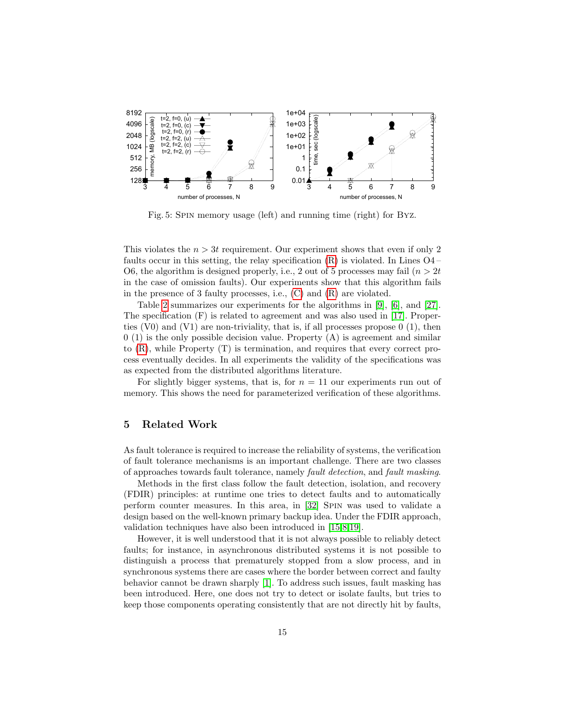<span id="page-14-0"></span>

Fig. 5: SPIN memory usage (left) and running time (right) for BYZ.

This violates the  $n > 3t$  requirement. Our experiment shows that even if only 2 faults occur in this setting, the relay specification [\(R\)](#page-12-1) is violated. In Lines O4 – O6, the algorithm is designed properly, i.e., 2 out of 5 processes may fail  $(n > 2t)$ in the case of omission faults). Our experiments show that this algorithm fails in the presence of 3 faulty processes, i.e., [\(C\)](#page-12-1) and [\(R\)](#page-12-1) are violated.

Table [2](#page-15-0) summarizes our experiments for the algorithms in [\[9\]](#page-16-1), [\[6\]](#page-16-0), and [\[27\]](#page-17-6). The specification (F) is related to agreement and was also used in [\[17\]](#page-17-17). Properties  $(V0)$  and  $(V1)$  are non-triviality, that is, if all processes propose  $0(1)$ , then 0 (1) is the only possible decision value. Property (A) is agreement and similar to [\(R\)](#page-12-1), while Property (T) is termination, and requires that every correct process eventually decides. In all experiments the validity of the specifications was as expected from the distributed algorithms literature.

For slightly bigger systems, that is, for  $n = 11$  our experiments run out of memory. This shows the need for parameterized verification of these algorithms.

## 5 Related Work

As fault tolerance is required to increase the reliability of systems, the verification of fault tolerance mechanisms is an important challenge. There are two classes of approaches towards fault tolerance, namely fault detection, and fault masking.

Methods in the first class follow the fault detection, isolation, and recovery (FDIR) principles: at runtime one tries to detect faults and to automatically perform counter measures. In this area, in [\[32\]](#page-17-18) Spin was used to validate a design based on the well-known primary backup idea. Under the FDIR approach, validation techniques have also been introduced in [\[15](#page-17-19)[,8,](#page-16-10)[19\]](#page-17-20).

However, it is well understood that it is not always possible to reliably detect faults; for instance, in asynchronous distributed systems it is not possible to distinguish a process that prematurely stopped from a slow process, and in synchronous systems there are cases where the border between correct and faulty behavior cannot be drawn sharply [\[1\]](#page-16-11). To address such issues, fault masking has been introduced. Here, one does not try to detect or isolate faults, but tries to keep those components operating consistently that are not directly hit by faults,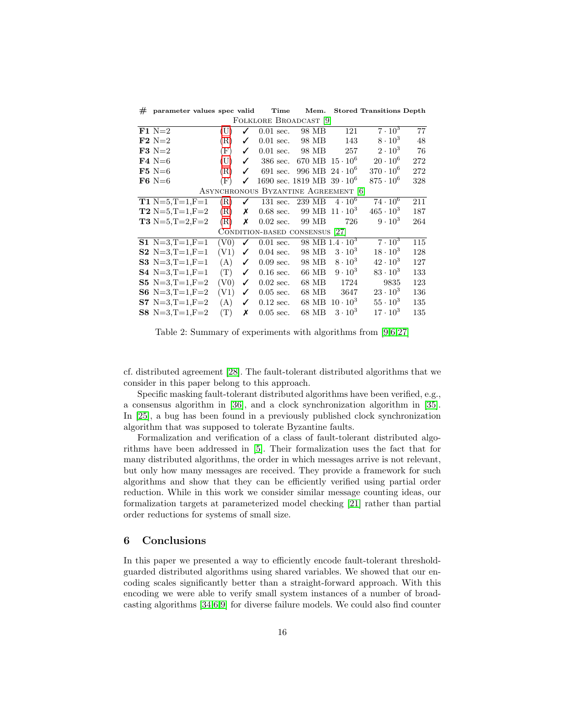<span id="page-15-0"></span>

| #                                    | parameter values spec valid     |                   |   | Time                |                                   |                        | Mem. Stored Transitions Depth |     |  |  |
|--------------------------------------|---------------------------------|-------------------|---|---------------------|-----------------------------------|------------------------|-------------------------------|-----|--|--|
| FOLKLORE BROADCAST [9]               |                                 |                   |   |                     |                                   |                        |                               |     |  |  |
|                                      | $F1 N=2$                        | (U)               | ✓ | $0.01 \text{ sec.}$ | 98 MB                             | 121                    | $7 \cdot 10^3$                | 77  |  |  |
|                                      | $F2 N=2$                        | (R)               | ✓ | $0.01 \text{ sec.}$ | 98 MB                             | 143                    | $8 \cdot 10^3$                | 48  |  |  |
|                                      | $F3 N=2$                        | (F)               | ✓ | $0.01$ sec.         | 98 MB                             | 257                    | $2 \cdot 10^3$                | 76  |  |  |
|                                      | $F4 N=6$                        | (U)               | ✓ | 386 sec.            | 670 MB $15 \cdot 10^6$            |                        | $20 \cdot 10^{6}$             | 272 |  |  |
|                                      | $F5 N=6$                        | (R)               | ✓ | 691 sec.            | 996 MB $24 \cdot 10^6$            |                        | $370 \cdot 10^{6}$            | 272 |  |  |
|                                      | $F6 N=6$                        | (F)               | ✓ |                     | 1690 sec. 1819 MB $39 \cdot 10^6$ |                        | $875 \cdot 10^{6}$            | 328 |  |  |
| ASYNCHRONOUS BYZANTINE AGREEMENT [6] |                                 |                   |   |                     |                                   |                        |                               |     |  |  |
|                                      | $T1 N=5, T=1, F=1$              | (R)               | ✓ |                     | 131 sec. 239 MB                   | $4 \cdot 10^6$         | $74 \cdot 10^{6}$             | 211 |  |  |
|                                      | $T2 N=5, T=1, F=2$              | (R)               | Х | $0.68$ sec.         |                                   | 99 MB $11 \cdot 10^3$  | $465 \cdot 10^{3}$            | 187 |  |  |
|                                      | <b>T3</b> $N=5$ , $T=2$ , $F=2$ | (R)               | Х | $0.02 \text{ sec.}$ | 99 MB                             | 726                    | $9 \cdot 10^3$                | 264 |  |  |
| CONDITION-BASED CONSENSUS [27]       |                                 |                   |   |                     |                                   |                        |                               |     |  |  |
|                                      | S1 $N=3, T=1, F=1$              | (V <sub>0</sub> ) | ✓ | $0.01 \text{ sec.}$ |                                   | 98 MB $1.4 \cdot 10^3$ | $7 \cdot 10^3$                | 115 |  |  |
|                                      | S2 $N=3, T=1, F=1$              | (V1)              | ✓ | $0.04 \text{ sec.}$ | 98 MB                             | $3 \cdot 10^3$         | $18 \cdot 10^3$               | 128 |  |  |
|                                      | <b>S3</b> $N=3, T=1, F=1$       | (A)               | ✓ | $0.09$ sec.         | 98 MB                             | $8 \cdot 10^3$         | $42 \cdot 10^3$               | 127 |  |  |
|                                      | <b>S4</b> $N=3, T=1, F=1$       | (T)               | ✓ | $0.16$ sec.         | 66 MB                             | $9 \cdot 10^3$         | $83 \cdot 10^3$               | 133 |  |  |
|                                      | S5 $N=3, T=1, F=2$              | (V <sub>0</sub> ) | ✓ | $0.02 \text{ sec.}$ | 68 MB                             | 1724                   | 9835                          | 123 |  |  |
|                                      | <b>S6</b> N=3,T=1,F=2           | (V1)              | ✓ | $0.05$ sec.         | 68 MB                             | 3647                   | $23 \cdot 10^3$               | 136 |  |  |
|                                      | S7 $N=3, T=1, F=2$              | (A)               | ✓ | $0.12$ sec.         | 68 MB                             | $10 \cdot 10^{3}$      | $55 \cdot 10^3$               | 135 |  |  |
|                                      | <b>S8</b> $N=3$ , $T=1$ , $F=2$ | $(\mathrm{T})$    | х | $0.05$ sec.         | 68 MB                             | $3\cdot 10^3$          | $17 \cdot 10^3$               | 135 |  |  |

Table 2: Summary of experiments with algorithms from [\[9,](#page-16-1)[6,](#page-16-0)[27\]](#page-17-6)

cf. distributed agreement [\[28\]](#page-17-12). The fault-tolerant distributed algorithms that we consider in this paper belong to this approach.

Specific masking fault-tolerant distributed algorithms have been verified, e.g., a consensus algorithm in [\[36\]](#page-17-21), and a clock synchronization algorithm in [\[35\]](#page-17-22). In [\[25\]](#page-17-23), a bug has been found in a previously published clock synchronization algorithm that was supposed to tolerate Byzantine faults.

Formalization and verification of a class of fault-tolerant distributed algorithms have been addressed in [\[5\]](#page-16-12). Their formalization uses the fact that for many distributed algorithms, the order in which messages arrive is not relevant, but only how many messages are received. They provide a framework for such algorithms and show that they can be efficiently verified using partial order reduction. While in this work we consider similar message counting ideas, our formalization targets at parameterized model checking [\[21\]](#page-17-4) rather than partial order reductions for systems of small size.

## 6 Conclusions

In this paper we presented a way to efficiently encode fault-tolerant thresholdguarded distributed algorithms using shared variables. We showed that our encoding scales significantly better than a straight-forward approach. With this encoding we were able to verify small system instances of a number of broadcasting algorithms [\[34,](#page-17-5)[6,](#page-16-0)[9\]](#page-16-1) for diverse failure models. We could also find counter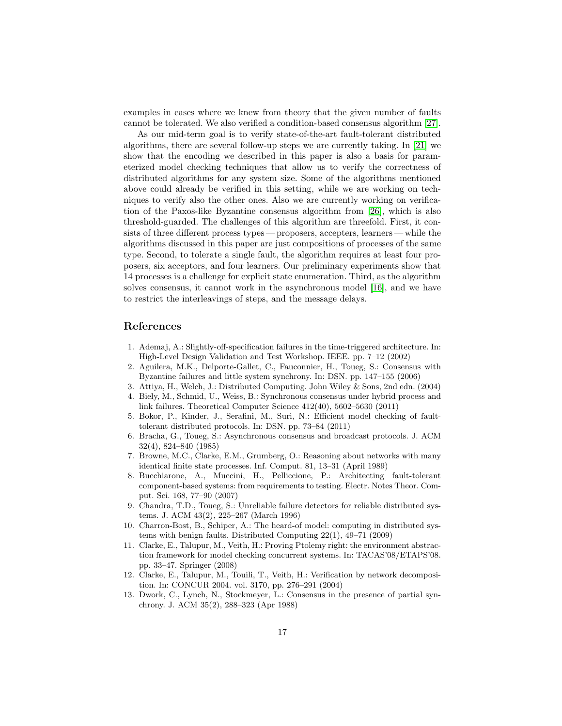examples in cases where we knew from theory that the given number of faults cannot be tolerated. We also verified a condition-based consensus algorithm [\[27\]](#page-17-6).

As our mid-term goal is to verify state-of-the-art fault-tolerant distributed algorithms, there are several follow-up steps we are currently taking. In [\[21\]](#page-17-4) we show that the encoding we described in this paper is also a basis for parameterized model checking techniques that allow us to verify the correctness of distributed algorithms for any system size. Some of the algorithms mentioned above could already be verified in this setting, while we are working on techniques to verify also the other ones. Also we are currently working on verification of the Paxos-like Byzantine consensus algorithm from [\[26\]](#page-17-8), which is also threshold-guarded. The challenges of this algorithm are threefold. First, it consists of three different process types — proposers, accepters, learners — while the algorithms discussed in this paper are just compositions of processes of the same type. Second, to tolerate a single fault, the algorithm requires at least four proposers, six acceptors, and four learners. Our preliminary experiments show that 14 processes is a challenge for explicit state enumeration. Third, as the algorithm solves consensus, it cannot work in the asynchronous model [\[16\]](#page-17-7), and we have to restrict the interleavings of steps, and the message delays.

## References

- <span id="page-16-11"></span>1. Ademaj, A.: Slightly-off-specification failures in the time-triggered architecture. In: High-Level Design Validation and Test Workshop. IEEE. pp. 7–12 (2002)
- <span id="page-16-5"></span>2. Aguilera, M.K., Delporte-Gallet, C., Fauconnier, H., Toueg, S.: Consensus with Byzantine failures and little system synchrony. In: DSN. pp. 147–155 (2006)
- <span id="page-16-4"></span>3. Attiya, H., Welch, J.: Distributed Computing. John Wiley & Sons, 2nd edn. (2004)
- <span id="page-16-9"></span>4. Biely, M., Schmid, U., Weiss, B.: Synchronous consensus under hybrid process and link failures. Theoretical Computer Science 412(40), 5602–5630 (2011)
- <span id="page-16-12"></span>5. Bokor, P., Kinder, J., Serafini, M., Suri, N.: Efficient model checking of faulttolerant distributed protocols. In: DSN. pp. 73–84 (2011)
- <span id="page-16-0"></span>6. Bracha, G., Toueg, S.: Asynchronous consensus and broadcast protocols. J. ACM 32(4), 824–840 (1985)
- <span id="page-16-6"></span>7. Browne, M.C., Clarke, E.M., Grumberg, O.: Reasoning about networks with many identical finite state processes. Inf. Comput. 81, 13–31 (April 1989)
- <span id="page-16-10"></span>8. Bucchiarone, A., Muccini, H., Pelliccione, P.: Architecting fault-tolerant component-based systems: from requirements to testing. Electr. Notes Theor. Comput. Sci. 168, 77–90 (2007)
- <span id="page-16-1"></span>9. Chandra, T.D., Toueg, S.: Unreliable failure detectors for reliable distributed systems. J. ACM 43(2), 225–267 (March 1996)
- <span id="page-16-3"></span>10. Charron-Bost, B., Schiper, A.: The heard-of model: computing in distributed systems with benign faults. Distributed Computing 22(1), 49–71 (2009)
- <span id="page-16-7"></span>11. Clarke, E., Talupur, M., Veith, H.: Proving Ptolemy right: the environment abstraction framework for model checking concurrent systems. In: TACAS'08/ETAPS'08. pp. 33–47. Springer (2008)
- <span id="page-16-8"></span>12. Clarke, E., Talupur, M., Touili, T., Veith, H.: Verification by network decomposition. In: CONCUR 2004. vol. 3170, pp. 276–291 (2004)
- <span id="page-16-2"></span>13. Dwork, C., Lynch, N., Stockmeyer, L.: Consensus in the presence of partial synchrony. J. ACM 35(2), 288–323 (Apr 1988)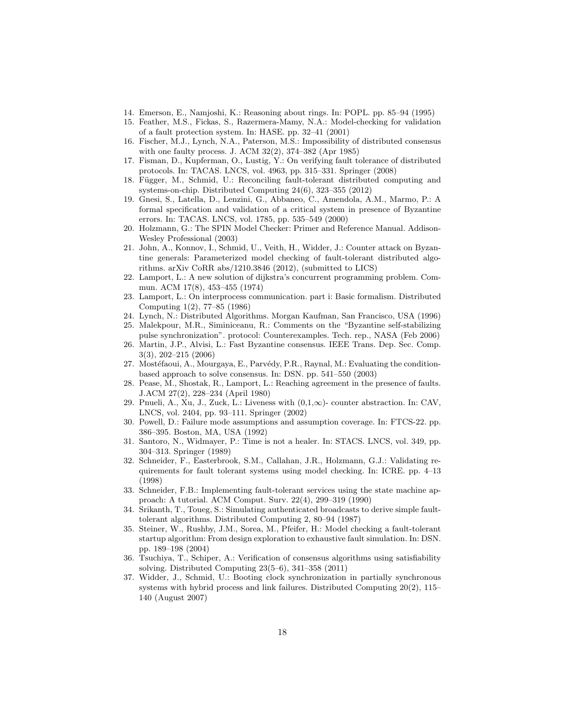- <span id="page-17-14"></span>14. Emerson, E., Namjoshi, K.: Reasoning about rings. In: POPL. pp. 85–94 (1995)
- <span id="page-17-19"></span>15. Feather, M.S., Fickas, S., Razermera-Mamy, N.A.: Model-checking for validation of a fault protection system. In: HASE. pp. 32–41 (2001)
- <span id="page-17-7"></span>16. Fischer, M.J., Lynch, N.A., Paterson, M.S.: Impossibility of distributed consensus with one faulty process. J. ACM 32(2), 374–382 (Apr 1985)
- <span id="page-17-17"></span>17. Fisman, D., Kupferman, O., Lustig, Y.: On verifying fault tolerance of distributed protocols. In: TACAS. LNCS, vol. 4963, pp. 315–331. Springer (2008)
- <span id="page-17-10"></span>18. Függer, M., Schmid, U.: Reconciling fault-tolerant distributed computing and systems-on-chip. Distributed Computing 24(6), 323–355 (2012)
- <span id="page-17-20"></span>19. Gnesi, S., Latella, D., Lenzini, G., Abbaneo, C., Amendola, A.M., Marmo, P.: A formal specification and validation of a critical system in presence of Byzantine errors. In: TACAS. LNCS, vol. 1785, pp. 535–549 (2000)
- <span id="page-17-3"></span>20. Holzmann, G.: The SPIN Model Checker: Primer and Reference Manual. Addison-Wesley Professional (2003)
- <span id="page-17-4"></span>21. John, A., Konnov, I., Schmid, U., Veith, H., Widder, J.: Counter attack on Byzantine generals: Parameterized model checking of fault-tolerant distributed algorithms. arXiv CoRR abs/1210.3846 (2012), (submitted to LICS)
- <span id="page-17-1"></span>22. Lamport, L.: A new solution of dijkstra's concurrent programming problem. Commun. ACM 17(8), 453–455 (1974)
- <span id="page-17-2"></span>23. Lamport, L.: On interprocess communication. part i: Basic formalism. Distributed Computing 1(2), 77–85 (1986)
- <span id="page-17-11"></span>24. Lynch, N.: Distributed Algorithms. Morgan Kaufman, San Francisco, USA (1996)
- <span id="page-17-23"></span>25. Malekpour, M.R., Siminiceanu, R.: Comments on the "Byzantine self-stabilizing pulse synchronization". protocol: Counterexamples. Tech. rep., NASA (Feb 2006)
- <span id="page-17-8"></span>26. Martin, J.P., Alvisi, L.: Fast Byzantine consensus. IEEE Trans. Dep. Sec. Comp. 3(3), 202–215 (2006)
- <span id="page-17-6"></span>27. Mostéfaoui, A., Mourgaya, E., Parvédy, P.R., Raynal, M.: Evaluating the conditionbased approach to solve consensus. In: DSN. pp. 541–550 (2003)
- <span id="page-17-12"></span>28. Pease, M., Shostak, R., Lamport, L.: Reaching agreement in the presence of faults. J.ACM 27(2), 228–234 (April 1980)
- <span id="page-17-15"></span>29. Pnueli, A., Xu, J., Zuck, L.: Liveness with  $(0,1,\infty)$ - counter abstraction. In: CAV, LNCS, vol. 2404, pp. 93–111. Springer (2002)
- <span id="page-17-13"></span>30. Powell, D.: Failure mode assumptions and assumption coverage. In: FTCS-22. pp. 386–395. Boston, MA, USA (1992)
- <span id="page-17-16"></span>31. Santoro, N., Widmayer, P.: Time is not a healer. In: STACS. LNCS, vol. 349, pp. 304–313. Springer (1989)
- <span id="page-17-18"></span>32. Schneider, F., Easterbrook, S.M., Callahan, J.R., Holzmann, G.J.: Validating requirements for fault tolerant systems using model checking. In: ICRE. pp. 4–13 (1998)
- <span id="page-17-0"></span>33. Schneider, F.B.: Implementing fault-tolerant services using the state machine approach: A tutorial. ACM Comput. Surv. 22(4), 299–319 (1990)
- <span id="page-17-5"></span>34. Srikanth, T., Toueg, S.: Simulating authenticated broadcasts to derive simple faulttolerant algorithms. Distributed Computing 2, 80–94 (1987)
- <span id="page-17-22"></span>35. Steiner, W., Rushby, J.M., Sorea, M., Pfeifer, H.: Model checking a fault-tolerant startup algorithm: From design exploration to exhaustive fault simulation. In: DSN. pp. 189–198 (2004)
- <span id="page-17-21"></span>36. Tsuchiya, T., Schiper, A.: Verification of consensus algorithms using satisfiability solving. Distributed Computing 23(5–6), 341–358 (2011)
- <span id="page-17-9"></span>37. Widder, J., Schmid, U.: Booting clock synchronization in partially synchronous systems with hybrid process and link failures. Distributed Computing 20(2), 115– 140 (August 2007)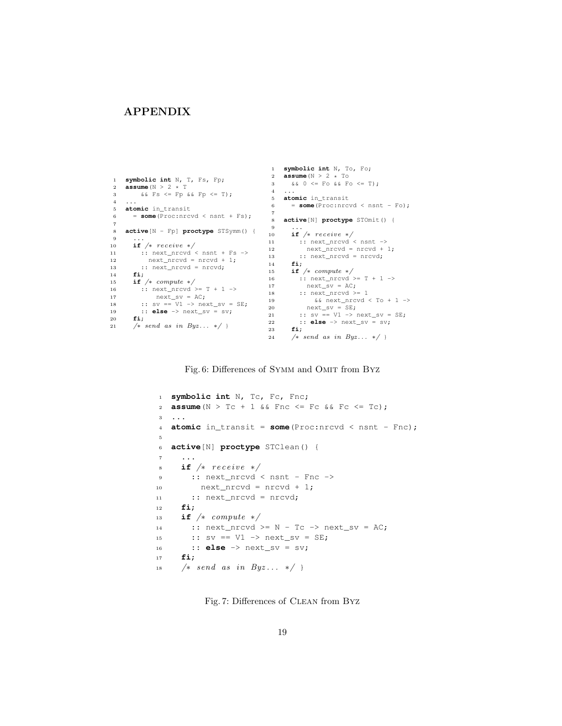# APPENDIX

```
1 symbolic int N, T, Fs, Fp;
2 assume (N > 2 * T<br>3 \&&FS \leq F FQ\begin{array}{rclclcl} &\alpha\,\alpha &F\,s &\leq& F\,p &\alpha\,\alpha &F\,p &\leq& T\,)\;\text{;}\end{array}\overline{4}5 atomic in transit
\frac{1}{6} = some(Proc:nrcvd < nsnt + Fs);
7
8 active[N - Fp] proctype STSymm() {
9 ...
10 if /∗ receive ∗/
11 :: next_nrcvd < nsnt + Fs ->
12 next_nrcvd = nrcvd + 1;
13 :: next_nrcvd = nrcvd;
14 fi;
15 if /∗ compute ∗/
16 :: next\_nrcvd \geq T + 1 \rightarrow17 next\_sv = AC;<br>
18 : sv == VI -> next\_sv = SE;19 :: else -> next_sv = sv;
20 fi;<br>21 /* s
       /\ast send as in Byz... \ast/ }
                                                       1 symbolic int N, To, Fo;
                                                       assume (N > 2 * T_0<br>3 & \&0 \leq F_0 \&F_03 && 0 <= Fo && Fo <= T);
                                                       \overline{4}5 atomic in_transit
                                                       6 = some(Proc:nrcvd < nsnt - Fo);7
                                                       8 active[N] proctype STOmit() {
                                                        9 ...
                                                      10 if /* receive */<br>11 :: next_nrcvd
                                                              \therefore next_nrcvd < nsnt ->
                                                      12 next\_nrcvd = nrcvd + 1;<br>
13 : next\_nrcvd = nrcvd;\overline{\text{?}} :: next_nrcvd = nrcvd;
                                                       14 fi;
15 if /∗ compute ∗/
                                                      16 :: next\_nrcvd \geq T + 1 \Rightarrow<br>17 next\_sv = AC;next\_sv = AC;18 :: next\_nrcvd \ge 119 && next_nrcvd < To + 1 ->
                                                     20 next\_sv = \overline{SE};<br>21 : sv == \text{VI} \rightarrow r\therefore sv == V1 -> next_sv = SE;
                                                     22 :: else -> next_sv = sv;
                                                      23 fi;
                                                      24 /* send as in Byz... */ }
```


```
1 symbolic int N, Tc, Fc, Fnc;
2 assume (N > TC + 1 & k Fnc \leq Fc & & Fc \leq Tc);
3 ...
4 atomic in_transit = some(Proc:nrcvd < nsnt - Fnc);
5
6 active[N] proctype STClean() {
7 \cdot \cdot \cdot\mathbf{s} if /* receive */
9 :: next_nrcvd < nsnt - Fnc ->
10 next_nrcvd = nrcvd + 1;
11 :: next_nrcvd = nrcvd;
12 fi;
13 if /∗ compute ∗/
14 :: next\_nrcvd >= N - Tc -> next\_sv = AC;15 :: sv == V1 \rightarrow next_sv = SE;16 :: else -> next_sv = sv;
17 fi;
18 /* send as in Byz...*/
```
Fig. 7: Differences of Clean from Byz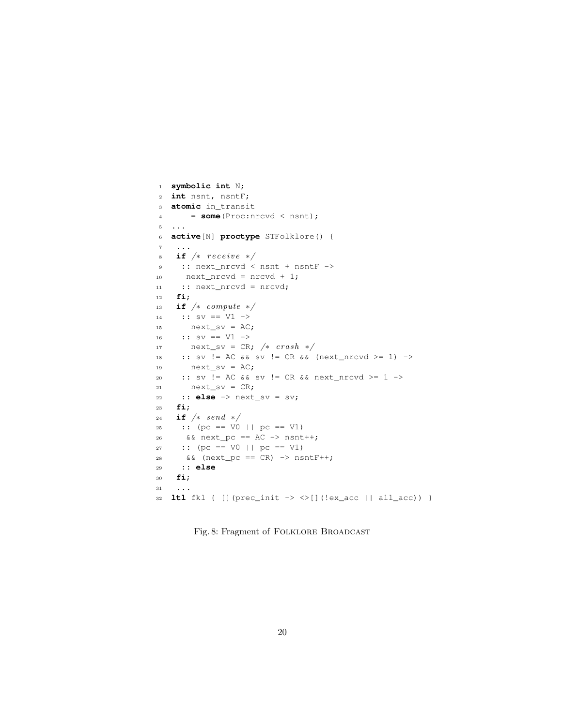```
1 symbolic int N;
2 int nsnt, nsntF;
3 atomic in_transit
4 = some(Proc:nrcvd < nsnt);
5 \cdot \cdot \cdot6 active[N] proctype STFolklore() {
7 ...
8 if /* receive */
9 :: next_nrcvd < nsnt + nsntF ->
10 next_nrcvd = nrcvd + 1;
11 :: next_nrcvd = nrcvd;
12 fi;
13 if /∗ compute ∗/
14 :: SV == VI ->15 next_sv = AC;
16 :: sv == VI ->17 next\_sv = CR; /* crash */
18 :: sv != AC && sv != CR && (next_nrcvd >= 1) ->
19 next_sv = AC;
20 :: sv != AC && sv != CR && next_nrcvd >= 1 ->
21 next_sv = CR;
22 :: else -> next_sv = sv;
23 fi;
24 if /∗ send ∗/
25 :: (pc == V0 || pc == V1)
26 &\& next_pc == AC -> nsnt++;
27 :: (pc == V0 || pc == V1)
28 \qquad \&\& \qquad (next\_pc == CR) \Rightarrow nsntF++;29 :: else
30 fi;
31 \cdot \cdot \cdot32 ltl fkl { [](prec_init -> <>[](!ex_acc || all_acc)) }
```
Fig. 8: Fragment of Folklore Broadcast